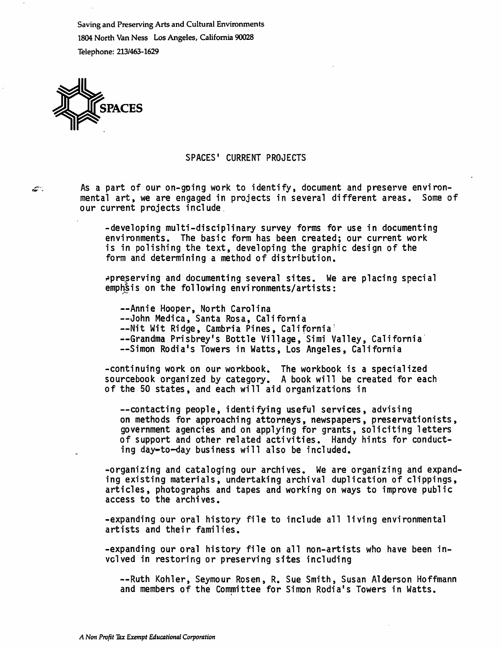Saving and Preserving Arts and Cultural Environments 1804 North Van Ness Los Angeles, California 90028 Telephone: 213/463-1629



أباتتها

## SPACES' CURRENT PROJECTS

As a part of our on-gping work to identify, document and preserve environ mental art, we are engaged in projects in several different areas. Some of our current projects include.

-developing multi-disciplinary survey forms for use in documenting environments. The basic form has been created; our current work is in polishing the text, developing the graphic design of the form and determining a method of distribution.

 $ap$ reserving and documenting several sites. We are placing special emphatis on the following environments/artists;

—Annie Hooper, North Carolina

—John Medica, Santa Rosa, California

—Nit Wit Ridge, Cambria Pines, California'

--Grandma Prisbrey's Bottle Village, Simi Valley, California

—Simon Rodia's Towers in Watts, Los Angeles, California

-continuing work on our workbook. The workbook is a specialized sourcebook organized by category. A book will be created for each of the 50 states, and each will aid organizations in

—contacting people, identifying useful services, advising on methods for approaching attorneys, newspapers, preservationists, government agencies and on applying for grants, soliciting letters of support and other related activities. Handy hints for conduct ing day-to-day business will also be included.

-organizing and cataloging our archives. We are organizing and expand ing existing materials, undertaking archival duplication of clippings, articles, photographs and tapes and working on ways to improve public access to the archives.

-expanding our oral history file to include all living environmental artists and their families.

-expanding our oral history file on all non-artists who have been in volved in restoring or preserving sites including

--Ruth Kohler, Seymour Rosen, R. Sue Smith, Susan Alderson Hoffmann and members of the Committee for Simon Rodia's Towers in Watts.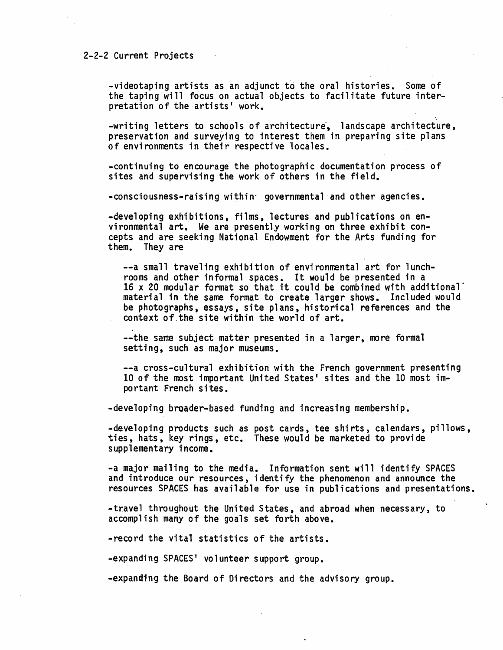## 2-2-2 Current Projects

-videotaping artists as an adjunct to the oral histories. Some of the taping will focus on actual objects to facilitate future inter pretation of the artists' work.

-writing letters to schools of architecture, landscape architecture, preservation and surveying to interest them in preparing site plans of environments in their respective locales.

-continuing to encourage the photographic documentation process of sites and supervising the work of others in the field.

-consciousness-raising within<sup>-</sup> governmental and other agencies.

-developing exhibitions, films, lectures and publications on environmental art. We are presently working on three exhibit con cepts and are seeking National Endowment for the Arts funding for them. They are

—a small traveling exhibition of environmental art for lunch rooms and other informal spaces. It would be presented in a 16 x 20 modular format so that it could be combined with additional material in the same format to create larger shows. Included would be photographs, essays, site plans, historical references and the context of the site within the world of art.

—the same subject matter presented in a larger, more formal setting, such as major museums.

—a cross-cultural exhibition with the French government presenting 10 of the most important United States' sites and the 10 most im portant French sites.

-developing broader-based funding and increasing membership.

-developing products such as post cards, tee shirts, calendars, pillows, ties, hats, key rings, etc. These would be marketed to provide supplementary income.

-a major mailing to the media. Information sent will identify SPACES and introduce our resources, identify the phenomenon and announce the resources SPACES has available for use in publications and presentations.

-travel throughout the United States, and abroad when necessary, to accomplish many of the goals set forth above.

- record the vital statistics of the artists.

-expanding SPACES' volunteer support group.

-expanding the Board of Directors and the advisory group.